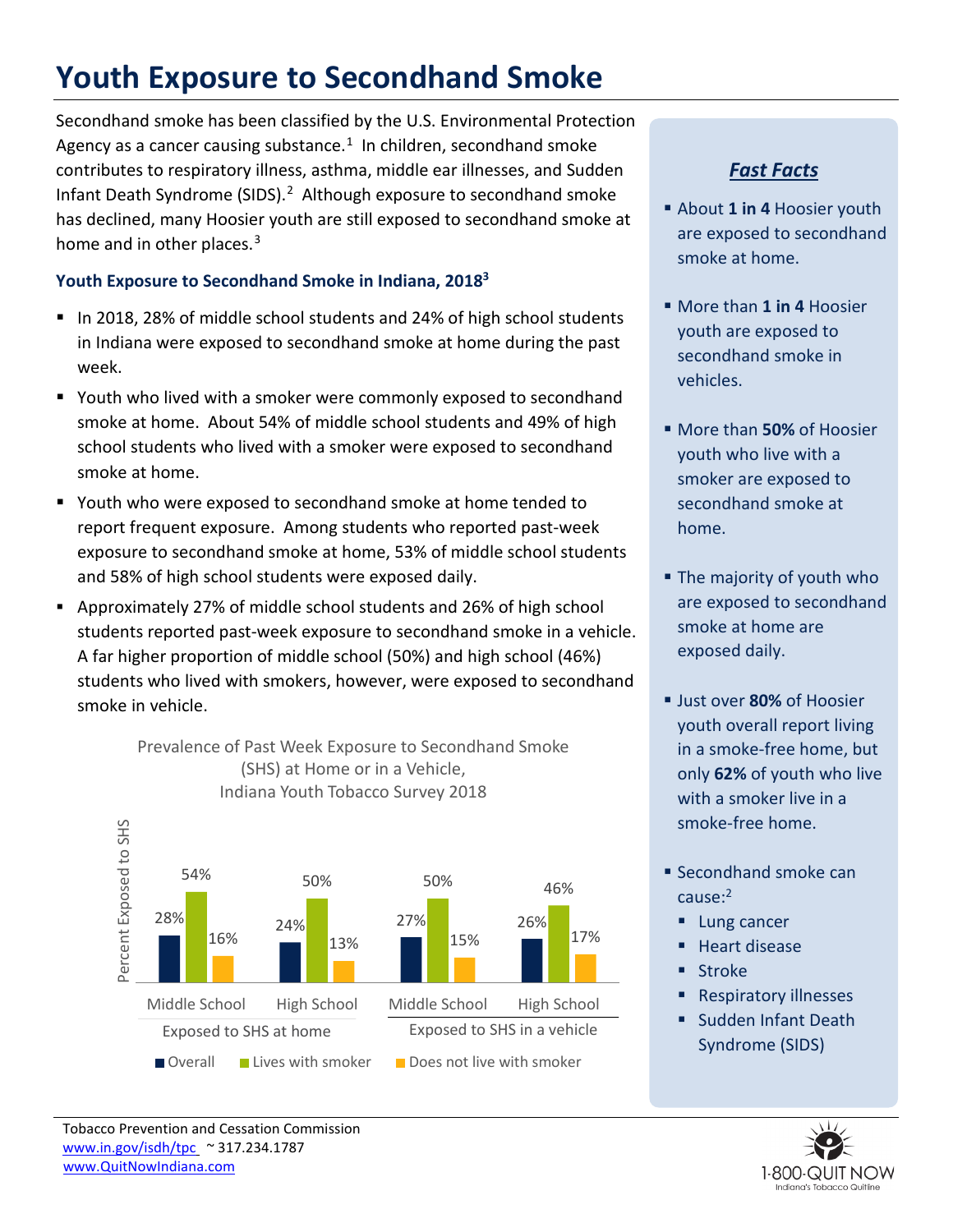# **Youth Exposure to Secondhand Smoke**

Secondhand smoke has been classified by the U.S. Environmental Protection Agency as a cancer causing substance. $1$  In children, secondhand smoke contributes to respiratory illness, asthma, middle ear illnesses, and Sudden Infant Death Syndrome (SIDS).<sup>2</sup> Although exposure to secondhand smoke has declined, many Hoosier youth are still exposed to secondhand smoke at home and in other places.<sup>[3](#page-1-2)</sup>

### **Youth Exposure to Secondhand Smoke in Indiana, 20183**

- In 2018, 28% of middle school students and 24% of high school students in Indiana were exposed to secondhand smoke at home during the past week.
- Youth who lived with a smoker were commonly exposed to secondhand smoke at home. About 54% of middle school students and 49% of high school students who lived with a smoker were exposed to secondhand smoke at home.
- Youth who were exposed to secondhand smoke at home tended to report frequent exposure. Among students who reported past-week exposure to secondhand smoke at home, 53% of middle school students and 58% of high school students were exposed daily.
- Approximately 27% of middle school students and 26% of high school students reported past-week exposure to secondhand smoke in a vehicle. A far higher proportion of middle school (50%) and high school (46%) students who lived with smokers, however, were exposed to secondhand smoke in vehicle.

Prevalence of Past Week Exposure to Secondhand Smoke (SHS) at Home or in a Vehicle, Indiana Youth Tobacco Survey 2018 Percent Exposed to SHS Percent Exposed to SHS 54% 50% 50% 46% 28% 24% 24% 27% 26% 16% 13% 15% 1<sup>17%</sup> Middle School High School Middle School High School Exposed to SHS at home Exposed to SHS in a vehicle ■ Overall ■ Lives with smoker ■ Does not live with smoker

### *Fast Facts*

- About **1 in 4** Hoosier youth are exposed to secondhand smoke at home.
- More than **1 in 4** Hoosier youth are exposed to secondhand smoke in vehicles.
- More than **50%** of Hoosier youth who live with a smoker are exposed to secondhand smoke at home.
- **The majority of youth who** are exposed to secondhand smoke at home are exposed daily.
- Just over **80%** of Hoosier youth overall report living in a smoke-free home, but only **62%** of youth who live with a smoker live in a smoke-free home.
- **Secondhand smoke can** cause:<sup>2</sup>
	- Lung cancer
	- **Heart disease**
	- **Stroke**
	- **Respiratory illnesses**
	- **Sudden Infant Death** Syndrome (SIDS)



Tobacco Prevention and Cessation Commission [www.in.gov/isdh/tpc](http://www.in.gov/isdh/tpc) ~ 317.234.1787  [www.QuitNowIndiana.com](http://www.quitnowindiana.com%7E/)